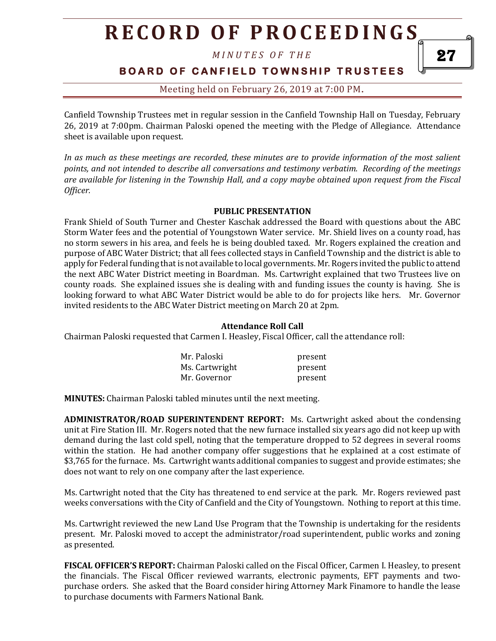*M I N U T E S O F T H E* 

**BOARD OF CANFIELD TOWNSHIP TRUSTEES** 

Meeting held on February 26, 2019 at 7:00 PM**.**

Canfield Township Trustees met in regular session in the Canfield Township Hall on Tuesday, February 26, 2019 at 7:00pm. Chairman Paloski opened the meeting with the Pledge of Allegiance. Attendance sheet is available upon request.

*In as much as these meetings are recorded, these minutes are to provide information of the most salient points, and not intended to describe all conversations and testimony verbatim. Recording of the meetings are available for listening in the Township Hall, and a copy maybe obtained upon request from the Fiscal Officer.* 

#### **PUBLIC PRESENTATION**

Frank Shield of South Turner and Chester Kaschak addressed the Board with questions about the ABC Storm Water fees and the potential of Youngstown Water service. Mr. Shield lives on a county road, has no storm sewers in his area, and feels he is being doubled taxed. Mr. Rogers explained the creation and purpose of ABC Water District; that all fees collected stays in Canfield Township and the district is able to apply for Federal funding that is not available to local governments. Mr. Rogers invited the public to attend the next ABC Water District meeting in Boardman. Ms. Cartwright explained that two Trustees live on county roads. She explained issues she is dealing with and funding issues the county is having. She is looking forward to what ABC Water District would be able to do for projects like hers. Mr. Governor invited residents to the ABC Water District meeting on March 20 at 2pm.

#### **Attendance Roll Call**

Chairman Paloski requested that Carmen I. Heasley, Fiscal Officer, call the attendance roll:

| Mr. Paloski    | present |
|----------------|---------|
| Ms. Cartwright | present |
| Mr. Governor   | present |

**MINUTES:** Chairman Paloski tabled minutes until the next meeting.

**ADMINISTRATOR/ROAD SUPERINTENDENT REPORT:** Ms. Cartwright asked about the condensing unit at Fire Station III. Mr. Rogers noted that the new furnace installed six years ago did not keep up with demand during the last cold spell, noting that the temperature dropped to 52 degrees in several rooms within the station. He had another company offer suggestions that he explained at a cost estimate of \$3,765 for the furnace. Ms. Cartwright wants additional companies to suggest and provide estimates; she does not want to rely on one company after the last experience.

Ms. Cartwright noted that the City has threatened to end service at the park. Mr. Rogers reviewed past weeks conversations with the City of Canfield and the City of Youngstown. Nothing to report at this time.

Ms. Cartwright reviewed the new Land Use Program that the Township is undertaking for the residents present. Mr. Paloski moved to accept the administrator/road superintendent, public works and zoning as presented.

**FISCAL OFFICER'S REPORT:** Chairman Paloski called on the Fiscal Officer, Carmen I. Heasley, to present the financials. The Fiscal Officer reviewed warrants, electronic payments, EFT payments and twopurchase orders. She asked that the Board consider hiring Attorney Mark Finamore to handle the lease to purchase documents with Farmers National Bank.

27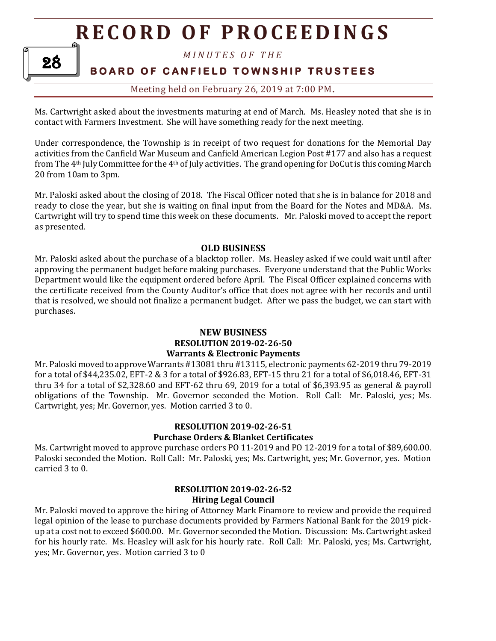*M I N U T E S O F T H E* 

28

## **BOARD OF CANFIELD TOWNSHIP TRUSTEES**

### Meeting held on February 26, 2019 at 7:00 PM**.**

Ms. Cartwright asked about the investments maturing at end of March. Ms. Heasley noted that she is in contact with Farmers Investment. She will have something ready for the next meeting.

Under correspondence, the Township is in receipt of two request for donations for the Memorial Day activities from the Canfield War Museum and Canfield American Legion Post #177 and also has a request from The 4th July Committee for the 4th of July activities. The grand opening for DoCut is this coming March 20 from 10am to 3pm.

Mr. Paloski asked about the closing of 2018. The Fiscal Officer noted that she is in balance for 2018 and ready to close the year, but she is waiting on final input from the Board for the Notes and MD&A. Ms. Cartwright will try to spend time this week on these documents. Mr. Paloski moved to accept the report as presented.

#### **OLD BUSINESS**

Mr. Paloski asked about the purchase of a blacktop roller. Ms. Heasley asked if we could wait until after approving the permanent budget before making purchases. Everyone understand that the Public Works Department would like the equipment ordered before April. The Fiscal Officer explained concerns with the certificate received from the County Auditor's office that does not agree with her records and until that is resolved, we should not finalize a permanent budget. After we pass the budget, we can start with purchases.

#### **NEW BUSINESS RESOLUTION 2019-02-26-50 Warrants & Electronic Payments**

Mr. Paloski moved to approve Warrants #13081 thru #13115, electronic payments 62-2019 thru 79-2019 for a total of \$44,235.02, EFT-2 & 3 for a total of \$926.83, EFT-15 thru 21 for a total of \$6,018.46, EFT-31 thru 34 for a total of \$2,328.60 and EFT-62 thru 69, 2019 for a total of \$6,393.95 as general & payroll obligations of the Township. Mr. Governor seconded the Motion. Roll Call: Mr. Paloski, yes; Ms. Cartwright, yes; Mr. Governor, yes. Motion carried 3 to 0.

#### **RESOLUTION 2019-02-26-51 Purchase Orders & Blanket Certificates**

Ms. Cartwright moved to approve purchase orders PO 11-2019 and PO 12-2019 for a total of \$89,600.00. Paloski seconded the Motion. Roll Call: Mr. Paloski, yes; Ms. Cartwright, yes; Mr. Governor, yes. Motion carried 3 to 0.

#### **RESOLUTION 2019-02-26-52 Hiring Legal Council**

Mr. Paloski moved to approve the hiring of Attorney Mark Finamore to review and provide the required legal opinion of the lease to purchase documents provided by Farmers National Bank for the 2019 pickup at a cost not to exceed \$600.00. Mr. Governor seconded the Motion. Discussion: Ms. Cartwright asked for his hourly rate. Ms. Heasley will ask for his hourly rate. Roll Call: Mr. Paloski, yes; Ms. Cartwright, yes; Mr. Governor, yes. Motion carried 3 to 0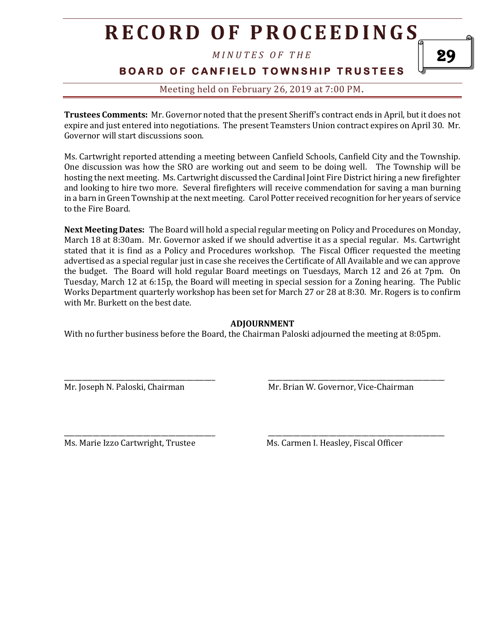*M I N U T E S O F T H E* 

## **BOARD OF CANFIELD TOWNSHIP TRUSTEES**

### Meeting held on February 26, 2019 at 7:00 PM**.**

**Trustees Comments:** Mr. Governor noted that the present Sheriff's contract ends in April, but it does not expire and just entered into negotiations. The present Teamsters Union contract expires on April 30. Mr. Governor will start discussions soon.

Ms. Cartwright reported attending a meeting between Canfield Schools, Canfield City and the Township. One discussion was how the SRO are working out and seem to be doing well. The Township will be hosting the next meeting. Ms. Cartwright discussed the Cardinal Joint Fire District hiring a new firefighter and looking to hire two more. Several firefighters will receive commendation for saving a man burning in a barn in Green Township at the next meeting. Carol Potter received recognition for her years of service to the Fire Board.

**Next Meeting Dates:** The Board will hold a special regular meeting on Policy and Procedures on Monday, March 18 at 8:30am. Mr. Governor asked if we should advertise it as a special regular. Ms. Cartwright stated that it is find as a Policy and Procedures workshop. The Fiscal Officer requested the meeting advertised as a special regular just in case she receives the Certificate of All Available and we can approve the budget. The Board will hold regular Board meetings on Tuesdays, March 12 and 26 at 7pm. On Tuesday, March 12 at 6:15p, the Board will meeting in special session for a Zoning hearing. The Public Works Department quarterly workshop has been set for March 27 or 28 at 8:30. Mr. Rogers is to confirm with Mr. Burkett on the best date.

#### **ADJOURNMENT**

With no further business before the Board, the Chairman Paloski adjourned the meeting at 8:05pm.

\_\_\_\_\_\_\_\_\_\_\_\_\_\_\_\_\_\_\_\_\_\_\_\_\_\_\_\_\_\_\_\_\_\_\_\_\_\_\_\_\_\_ \_\_\_\_\_\_\_\_\_\_\_\_\_\_\_\_\_\_\_\_\_\_\_\_\_\_\_\_\_\_\_\_\_\_\_\_\_\_\_\_\_\_\_\_\_\_\_\_\_

Mr. Joseph N. Paloski, Chairman Mr. Brian W. Governor, Vice-Chairman

\_\_\_\_\_\_\_\_\_\_\_\_\_\_\_\_\_\_\_\_\_\_\_\_\_\_\_\_\_\_\_\_\_\_\_\_\_\_\_\_\_\_ \_\_\_\_\_\_\_\_\_\_\_\_\_\_\_\_\_\_\_\_\_\_\_\_\_\_\_\_\_\_\_\_\_\_\_\_\_\_\_\_\_\_\_\_\_\_\_\_\_

Ms. Marie Izzo Cartwright, Trustee Ms. Carmen I. Heasley, Fiscal Officer

29